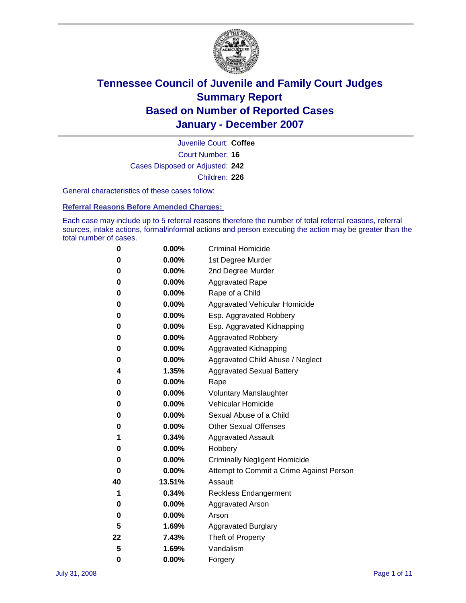

Court Number: **16** Juvenile Court: **Coffee** Cases Disposed or Adjusted: **242** Children: **226**

General characteristics of these cases follow:

**Referral Reasons Before Amended Charges:** 

Each case may include up to 5 referral reasons therefore the number of total referral reasons, referral sources, intake actions, formal/informal actions and person executing the action may be greater than the total number of cases.

| 0  | 0.00%    | <b>Criminal Homicide</b>                 |
|----|----------|------------------------------------------|
| 0  | 0.00%    | 1st Degree Murder                        |
| 0  | $0.00\%$ | 2nd Degree Murder                        |
| 0  | 0.00%    | <b>Aggravated Rape</b>                   |
| 0  | 0.00%    | Rape of a Child                          |
| 0  | 0.00%    | Aggravated Vehicular Homicide            |
| 0  | 0.00%    | Esp. Aggravated Robbery                  |
| 0  | 0.00%    | Esp. Aggravated Kidnapping               |
| 0  | 0.00%    | <b>Aggravated Robbery</b>                |
| 0  | $0.00\%$ | Aggravated Kidnapping                    |
| 0  | 0.00%    | Aggravated Child Abuse / Neglect         |
| 4  | 1.35%    | <b>Aggravated Sexual Battery</b>         |
| 0  | 0.00%    | Rape                                     |
| 0  | 0.00%    | <b>Voluntary Manslaughter</b>            |
| 0  | 0.00%    | Vehicular Homicide                       |
| 0  | 0.00%    | Sexual Abuse of a Child                  |
| 0  | 0.00%    | <b>Other Sexual Offenses</b>             |
| 1  | 0.34%    | <b>Aggravated Assault</b>                |
| 0  | $0.00\%$ | Robbery                                  |
| 0  | 0.00%    | <b>Criminally Negligent Homicide</b>     |
| 0  | 0.00%    | Attempt to Commit a Crime Against Person |
| 40 | 13.51%   | Assault                                  |
| 1  | 0.34%    | <b>Reckless Endangerment</b>             |
| 0  | 0.00%    | <b>Aggravated Arson</b>                  |
| 0  | 0.00%    | Arson                                    |
| 5  | 1.69%    | <b>Aggravated Burglary</b>               |
| 22 | 7.43%    | Theft of Property                        |
| 5  | 1.69%    | Vandalism                                |
| 0  | 0.00%    | Forgery                                  |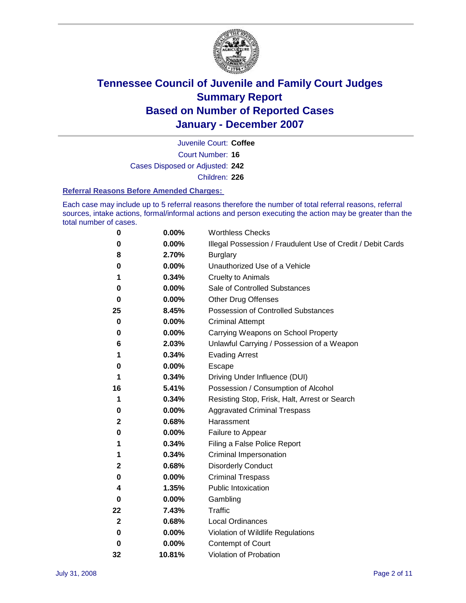

Court Number: **16** Juvenile Court: **Coffee** Cases Disposed or Adjusted: **242** Children: **226**

#### **Referral Reasons Before Amended Charges:**

Each case may include up to 5 referral reasons therefore the number of total referral reasons, referral sources, intake actions, formal/informal actions and person executing the action may be greater than the total number of cases.

| 0           | 0.00%    | <b>Worthless Checks</b>                                     |
|-------------|----------|-------------------------------------------------------------|
| 0           | 0.00%    | Illegal Possession / Fraudulent Use of Credit / Debit Cards |
| 8           | 2.70%    | <b>Burglary</b>                                             |
| 0           | $0.00\%$ | Unauthorized Use of a Vehicle                               |
| 1           | 0.34%    | <b>Cruelty to Animals</b>                                   |
| 0           | 0.00%    | Sale of Controlled Substances                               |
| 0           | 0.00%    | <b>Other Drug Offenses</b>                                  |
| 25          | 8.45%    | <b>Possession of Controlled Substances</b>                  |
| 0           | 0.00%    | <b>Criminal Attempt</b>                                     |
| 0           | 0.00%    | Carrying Weapons on School Property                         |
| 6           | 2.03%    | Unlawful Carrying / Possession of a Weapon                  |
| 1           | 0.34%    | <b>Evading Arrest</b>                                       |
| 0           | 0.00%    | Escape                                                      |
| 1           | 0.34%    | Driving Under Influence (DUI)                               |
| 16          | 5.41%    | Possession / Consumption of Alcohol                         |
| 1           | 0.34%    | Resisting Stop, Frisk, Halt, Arrest or Search               |
| 0           | 0.00%    | <b>Aggravated Criminal Trespass</b>                         |
| 2           | 0.68%    | Harassment                                                  |
| 0           | 0.00%    | Failure to Appear                                           |
| 1           | 0.34%    | Filing a False Police Report                                |
| 1           | 0.34%    | Criminal Impersonation                                      |
| 2           | 0.68%    | <b>Disorderly Conduct</b>                                   |
| 0           | 0.00%    | <b>Criminal Trespass</b>                                    |
| 4           | 1.35%    | <b>Public Intoxication</b>                                  |
| 0           | 0.00%    | Gambling                                                    |
| 22          | 7.43%    | <b>Traffic</b>                                              |
| $\mathbf 2$ | 0.68%    | Local Ordinances                                            |
| 0           | 0.00%    | Violation of Wildlife Regulations                           |
| 0           | 0.00%    | Contempt of Court                                           |
| 32          | 10.81%   | Violation of Probation                                      |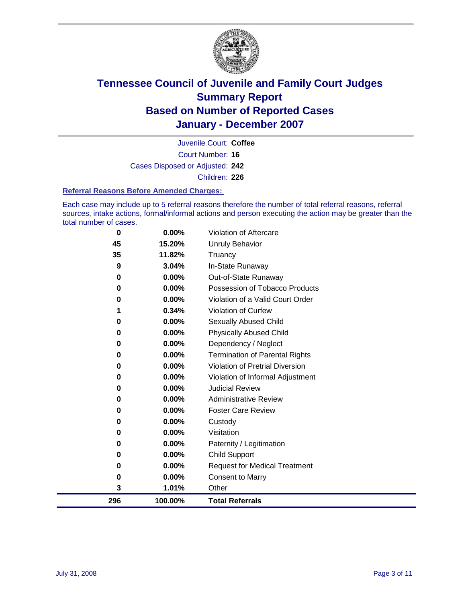

Court Number: **16** Juvenile Court: **Coffee** Cases Disposed or Adjusted: **242** Children: **226**

#### **Referral Reasons Before Amended Charges:**

Each case may include up to 5 referral reasons therefore the number of total referral reasons, referral sources, intake actions, formal/informal actions and person executing the action may be greater than the total number of cases.

| 0   | 0.00%   | Violation of Aftercare                 |
|-----|---------|----------------------------------------|
| 45  | 15.20%  | Unruly Behavior                        |
| 35  | 11.82%  | Truancy                                |
| 9   | 3.04%   | In-State Runaway                       |
| 0   | 0.00%   | Out-of-State Runaway                   |
| 0   | 0.00%   | Possession of Tobacco Products         |
| 0   | 0.00%   | Violation of a Valid Court Order       |
|     | 0.34%   | Violation of Curfew                    |
| 0   | 0.00%   | Sexually Abused Child                  |
| 0   | 0.00%   | <b>Physically Abused Child</b>         |
| 0   | 0.00%   | Dependency / Neglect                   |
| 0   | 0.00%   | <b>Termination of Parental Rights</b>  |
| 0   | 0.00%   | <b>Violation of Pretrial Diversion</b> |
| 0   | 0.00%   | Violation of Informal Adjustment       |
| 0   | 0.00%   | <b>Judicial Review</b>                 |
| 0   | 0.00%   | <b>Administrative Review</b>           |
| 0   | 0.00%   | <b>Foster Care Review</b>              |
| 0   | 0.00%   | Custody                                |
| 0   | 0.00%   | Visitation                             |
| 0   | 0.00%   | Paternity / Legitimation               |
| 0   | 0.00%   | <b>Child Support</b>                   |
| 0   | 0.00%   | <b>Request for Medical Treatment</b>   |
| 0   | 0.00%   | <b>Consent to Marry</b>                |
| 3   | 1.01%   | Other                                  |
| 296 | 100.00% | <b>Total Referrals</b>                 |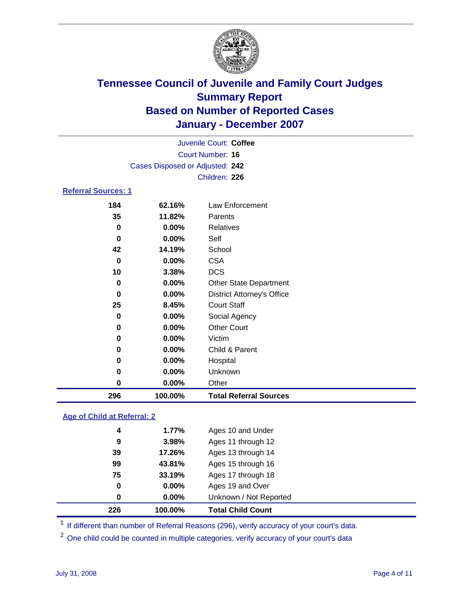

|                            | Juvenile Court: Coffee          |  |
|----------------------------|---------------------------------|--|
|                            | Court Number: 16                |  |
|                            | Cases Disposed or Adjusted: 242 |  |
|                            | Children: 226                   |  |
| <b>Referral Sources: 1</b> |                                 |  |
|                            |                                 |  |

### **62.16%** Law Enforcement **11.82%** Parents **0.00%** Relatives **0.00%** Self **14.19%** School **0.00%** CSA **3.38%** DCS **0.00%** Other State Department **0.00%** District Attorney's Office **8.45%** Court Staff **0.00%** Social Agency **0.00%** Other Court **0.00%** Victim **0.00%** Child & Parent **0.00%** Hospital **0.00%** Unknown **0.00%** Other **100.00% Total Referral Sources**

#### **Age of Child at Referral: 2**

| 226 | 100.00% | <b>Total Child Count</b> |
|-----|---------|--------------------------|
| 0   | 0.00%   | Unknown / Not Reported   |
| 0   | 0.00%   | Ages 19 and Over         |
| 75  | 33.19%  | Ages 17 through 18       |
| 99  | 43.81%  | Ages 15 through 16       |
| 39  | 17.26%  | Ages 13 through 14       |
| 9   | 3.98%   | Ages 11 through 12       |
| 4   | 1.77%   | Ages 10 and Under        |
|     |         |                          |

<sup>1</sup> If different than number of Referral Reasons (296), verify accuracy of your court's data.

<sup>2</sup> One child could be counted in multiple categories, verify accuracy of your court's data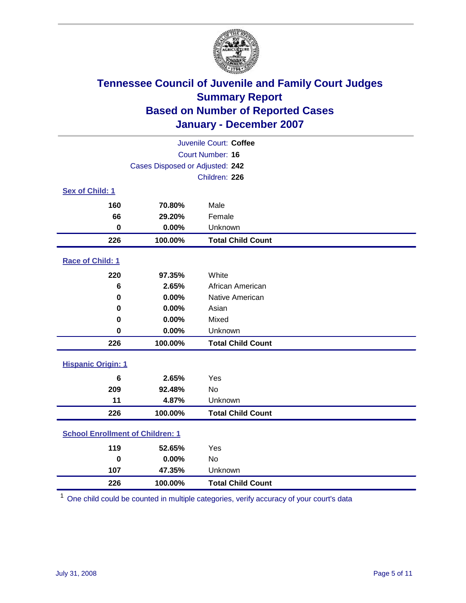

| Juvenile Court: Coffee                  |                                 |                          |  |  |
|-----------------------------------------|---------------------------------|--------------------------|--|--|
|                                         | Court Number: 16                |                          |  |  |
|                                         | Cases Disposed or Adjusted: 242 |                          |  |  |
|                                         |                                 | Children: 226            |  |  |
| Sex of Child: 1                         |                                 |                          |  |  |
| 160                                     | 70.80%                          | Male                     |  |  |
| 66                                      | 29.20%                          | Female                   |  |  |
| $\bf{0}$                                | 0.00%                           | Unknown                  |  |  |
| 226                                     | 100.00%                         | <b>Total Child Count</b> |  |  |
| Race of Child: 1                        |                                 |                          |  |  |
| 220                                     | 97.35%                          | White                    |  |  |
| 6                                       | 2.65%                           | African American         |  |  |
| 0                                       | 0.00%                           | Native American          |  |  |
| 0                                       | 0.00%                           | Asian                    |  |  |
| 0                                       | 0.00%                           | Mixed                    |  |  |
| $\bf{0}$                                | 0.00%                           | Unknown                  |  |  |
| 226                                     | 100.00%                         | <b>Total Child Count</b> |  |  |
| <b>Hispanic Origin: 1</b>               |                                 |                          |  |  |
| 6                                       | 2.65%                           | Yes                      |  |  |
| 209                                     | 92.48%                          | <b>No</b>                |  |  |
| 11                                      | 4.87%                           | Unknown                  |  |  |
| 226                                     | 100.00%                         | <b>Total Child Count</b> |  |  |
| <b>School Enrollment of Children: 1</b> |                                 |                          |  |  |
| 119                                     | 52.65%                          | Yes                      |  |  |
| $\bf{0}$                                | 0.00%                           | No                       |  |  |
| 107                                     | 47.35%                          | Unknown                  |  |  |
| 226                                     | 100.00%                         | <b>Total Child Count</b> |  |  |

One child could be counted in multiple categories, verify accuracy of your court's data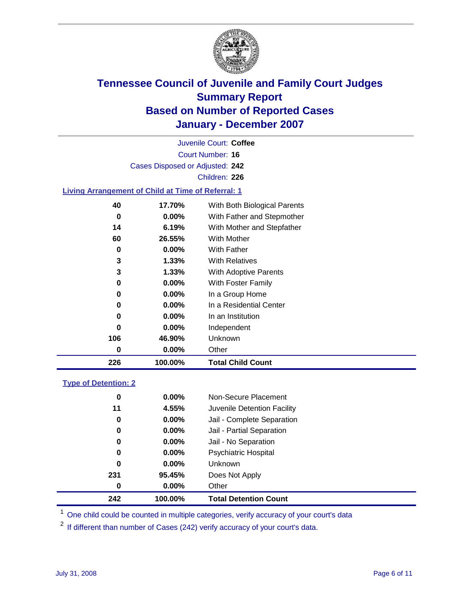

Court Number: **16** Juvenile Court: **Coffee** Cases Disposed or Adjusted: **242** Children: **226 Living Arrangement of Child at Time of Referral: 1 17.70%** With Both Biological Parents

| 226 | 100.00%  | <b>Total Child Count</b>             |
|-----|----------|--------------------------------------|
| 0   | 0.00%    | Other                                |
| 106 | 46.90%   | Unknown                              |
| 0   | $0.00\%$ | Independent                          |
| 0   | $0.00\%$ | In an Institution                    |
| 0   | $0.00\%$ | In a Residential Center              |
| 0   | $0.00\%$ | In a Group Home                      |
| 0   | $0.00\%$ | With Foster Family                   |
| 3   | 1.33%    | <b>With Adoptive Parents</b>         |
| 3   | $1.33\%$ | <b>With Relatives</b>                |
| 0   | $0.00\%$ | <b>With Father</b>                   |
| 60  | 26.55%   | <b>With Mother</b>                   |
| 14  | 6.19%    | With Mother and Stepfather           |
| 0   | $0.00\%$ | With Father and Stepmother           |
| 40  | 17.70%   | <i>vvith Both Biological Parents</i> |

#### **Type of Detention: 2**

| 242 | 100.00%  | <b>Total Detention Count</b> |  |
|-----|----------|------------------------------|--|
| 0   | $0.00\%$ | Other                        |  |
| 231 | 95.45%   | Does Not Apply               |  |
| 0   | $0.00\%$ | <b>Unknown</b>               |  |
| 0   | 0.00%    | Psychiatric Hospital         |  |
| 0   | $0.00\%$ | Jail - No Separation         |  |
| 0   | $0.00\%$ | Jail - Partial Separation    |  |
| 0   | $0.00\%$ | Jail - Complete Separation   |  |
| 11  | 4.55%    | Juvenile Detention Facility  |  |
| 0   | $0.00\%$ | Non-Secure Placement         |  |
|     |          |                              |  |

<sup>1</sup> One child could be counted in multiple categories, verify accuracy of your court's data

<sup>2</sup> If different than number of Cases (242) verify accuracy of your court's data.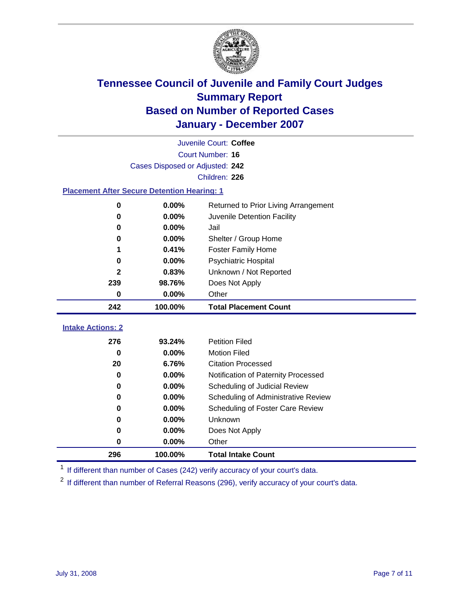

|                                                    | Juvenile Court: Coffee          |                                      |  |  |  |
|----------------------------------------------------|---------------------------------|--------------------------------------|--|--|--|
|                                                    | Court Number: 16                |                                      |  |  |  |
|                                                    | Cases Disposed or Adjusted: 242 |                                      |  |  |  |
|                                                    |                                 | Children: 226                        |  |  |  |
| <b>Placement After Secure Detention Hearing: 1</b> |                                 |                                      |  |  |  |
| 0                                                  | 0.00%                           | Returned to Prior Living Arrangement |  |  |  |
| $\bf{0}$                                           | 0.00%                           | Juvenile Detention Facility          |  |  |  |
| $\bf{0}$                                           | 0.00%                           | Jail                                 |  |  |  |
| 0                                                  | 0.00%                           | Shelter / Group Home                 |  |  |  |
| 1                                                  | 0.41%                           | <b>Foster Family Home</b>            |  |  |  |
| $\bf{0}$                                           | 0.00%                           | Psychiatric Hospital                 |  |  |  |
| $\mathbf{2}$                                       | 0.83%                           | Unknown / Not Reported               |  |  |  |
| 239                                                | 98.76%                          | Does Not Apply                       |  |  |  |
| $\bf{0}$                                           | 0.00%                           | Other                                |  |  |  |
| 242                                                | 100.00%                         | <b>Total Placement Count</b>         |  |  |  |
| <b>Intake Actions: 2</b>                           |                                 |                                      |  |  |  |
| 276                                                | 93.24%                          | <b>Petition Filed</b>                |  |  |  |
| $\bf{0}$                                           | 0.00%                           | <b>Motion Filed</b>                  |  |  |  |
| 20                                                 | 6.76%                           | <b>Citation Processed</b>            |  |  |  |
| 0                                                  | 0.00%                           | Notification of Paternity Processed  |  |  |  |
| 0                                                  | 0.00%                           | Scheduling of Judicial Review        |  |  |  |
| 0                                                  | 0.00%                           | Scheduling of Administrative Review  |  |  |  |
| 0                                                  | 0.00%                           | Scheduling of Foster Care Review     |  |  |  |
| $\bf{0}$                                           |                                 | Unknown                              |  |  |  |
|                                                    | 0.00%                           |                                      |  |  |  |
| 0                                                  | 0.00%                           | Does Not Apply                       |  |  |  |
| $\bf{0}$                                           | 0.00%                           | Other                                |  |  |  |

<sup>1</sup> If different than number of Cases (242) verify accuracy of your court's data.

<sup>2</sup> If different than number of Referral Reasons (296), verify accuracy of your court's data.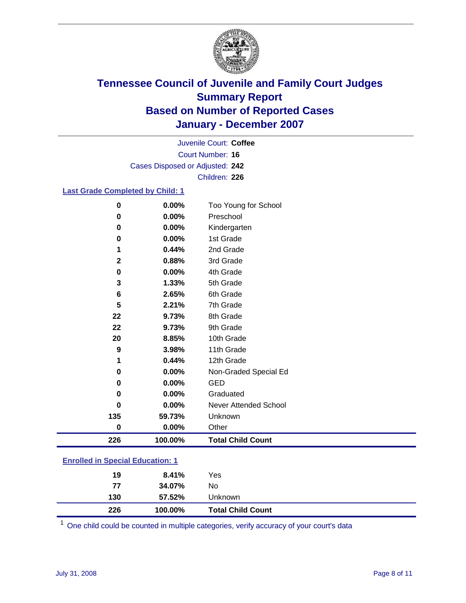

Court Number: **16** Juvenile Court: **Coffee** Cases Disposed or Adjusted: **242** Children: **226**

#### **Last Grade Completed by Child: 1**

| $\mathbf 0$  | 0.00%   | Too Young for School     |
|--------------|---------|--------------------------|
| $\mathbf 0$  | 0.00%   | Preschool                |
| $\bf{0}$     | 0.00%   | Kindergarten             |
| 0            | 0.00%   | 1st Grade                |
| 1            | 0.44%   | 2nd Grade                |
| $\mathbf{2}$ | 0.88%   | 3rd Grade                |
| $\bf{0}$     | 0.00%   | 4th Grade                |
| 3            | 1.33%   | 5th Grade                |
| 6            | 2.65%   | 6th Grade                |
| 5            | 2.21%   | 7th Grade                |
| 22           | 9.73%   | 8th Grade                |
| 22           | 9.73%   | 9th Grade                |
| 20           | 8.85%   | 10th Grade               |
| 9            | 3.98%   | 11th Grade               |
|              | 0.44%   | 12th Grade               |
| 0            | 0.00%   | Non-Graded Special Ed    |
| $\mathbf 0$  | 0.00%   | <b>GED</b>               |
| 0            | 0.00%   | Graduated                |
| $\bf{0}$     | 0.00%   | Never Attended School    |
| 135          | 59.73%  | Unknown                  |
| $\bf{0}$     | 0.00%   | Other                    |
| 226          | 100.00% | <b>Total Child Count</b> |

### **Enrolled in Special Education: 1**

<sup>1</sup> One child could be counted in multiple categories, verify accuracy of your court's data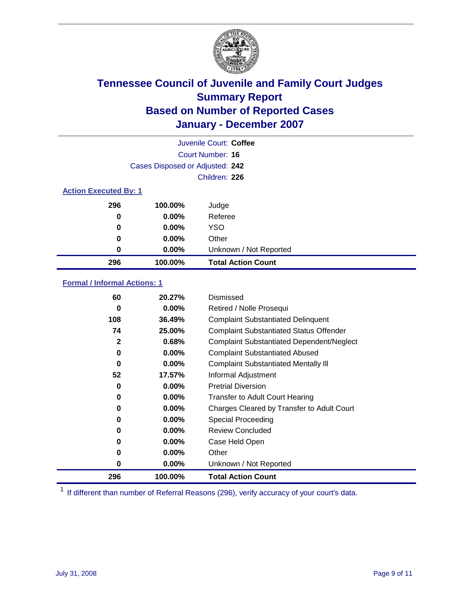

| Juvenile Court: Coffee       |                                 |                           |  |  |  |
|------------------------------|---------------------------------|---------------------------|--|--|--|
|                              | Court Number: 16                |                           |  |  |  |
|                              | Cases Disposed or Adjusted: 242 |                           |  |  |  |
|                              | Children: 226                   |                           |  |  |  |
| <b>Action Executed By: 1</b> |                                 |                           |  |  |  |
| 296                          | 100.00%                         | Judge                     |  |  |  |
| 0                            | $0.00\%$                        | Referee                   |  |  |  |
| 0                            | $0.00\%$                        | <b>YSO</b>                |  |  |  |
| 0                            | 0.00%                           | Other                     |  |  |  |
| 0                            | 0.00%                           | Unknown / Not Reported    |  |  |  |
| 296                          | 100.00%                         | <b>Total Action Count</b> |  |  |  |

### **Formal / Informal Actions: 1**

| 60  | 20.27%   | Dismissed                                        |
|-----|----------|--------------------------------------------------|
| 0   | $0.00\%$ | Retired / Nolle Prosequi                         |
| 108 | 36.49%   | <b>Complaint Substantiated Delinquent</b>        |
| 74  | 25.00%   | <b>Complaint Substantiated Status Offender</b>   |
| 2   | 0.68%    | <b>Complaint Substantiated Dependent/Neglect</b> |
| 0   | $0.00\%$ | <b>Complaint Substantiated Abused</b>            |
| 0   | $0.00\%$ | <b>Complaint Substantiated Mentally III</b>      |
| 52  | 17.57%   | Informal Adjustment                              |
| 0   | 0.00%    | <b>Pretrial Diversion</b>                        |
| 0   | $0.00\%$ | <b>Transfer to Adult Court Hearing</b>           |
| 0   | $0.00\%$ | Charges Cleared by Transfer to Adult Court       |
| 0   | $0.00\%$ | Special Proceeding                               |
| 0   | $0.00\%$ | <b>Review Concluded</b>                          |
| 0   | $0.00\%$ | Case Held Open                                   |
| 0   | $0.00\%$ | Other                                            |
| 0   | 0.00%    | Unknown / Not Reported                           |
| 296 | 100.00%  | <b>Total Action Count</b>                        |

<sup>1</sup> If different than number of Referral Reasons (296), verify accuracy of your court's data.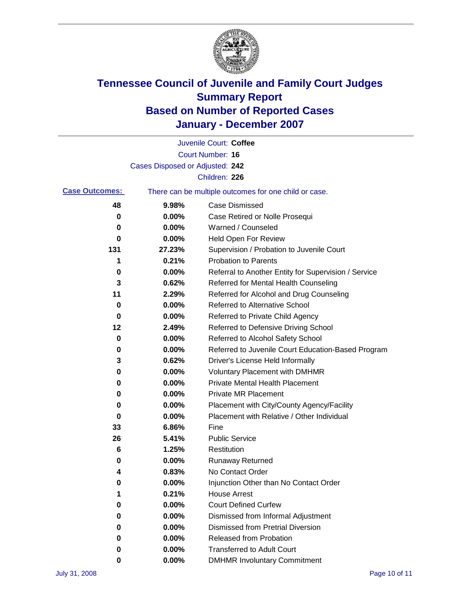

|                       |                                 | Juvenile Court: Coffee                                |
|-----------------------|---------------------------------|-------------------------------------------------------|
|                       |                                 | <b>Court Number: 16</b>                               |
|                       | Cases Disposed or Adjusted: 242 |                                                       |
|                       |                                 | Children: 226                                         |
| <b>Case Outcomes:</b> |                                 | There can be multiple outcomes for one child or case. |
| 48                    | 9.98%                           | <b>Case Dismissed</b>                                 |
| 0                     | 0.00%                           | Case Retired or Nolle Prosequi                        |
| 0                     | 0.00%                           | Warned / Counseled                                    |
| 0                     | 0.00%                           | <b>Held Open For Review</b>                           |
| 131                   | 27.23%                          | Supervision / Probation to Juvenile Court             |
| 1                     | 0.21%                           | <b>Probation to Parents</b>                           |
| 0                     | 0.00%                           | Referral to Another Entity for Supervision / Service  |
| 3                     | 0.62%                           | Referred for Mental Health Counseling                 |
| 11                    | 2.29%                           | Referred for Alcohol and Drug Counseling              |
| 0                     | 0.00%                           | Referred to Alternative School                        |
| 0                     | 0.00%                           | Referred to Private Child Agency                      |
| 12                    | 2.49%                           | Referred to Defensive Driving School                  |
| 0                     | 0.00%                           | Referred to Alcohol Safety School                     |
| 0                     | 0.00%                           | Referred to Juvenile Court Education-Based Program    |
| 3                     | 0.62%                           | Driver's License Held Informally                      |
| 0                     | 0.00%                           | <b>Voluntary Placement with DMHMR</b>                 |
| 0                     | 0.00%                           | Private Mental Health Placement                       |
| 0                     | 0.00%                           | <b>Private MR Placement</b>                           |
| 0                     | 0.00%                           | Placement with City/County Agency/Facility            |
| 0                     | 0.00%                           | Placement with Relative / Other Individual            |
| 33                    | 6.86%                           | Fine                                                  |
| 26                    | 5.41%                           | <b>Public Service</b>                                 |
| 6                     | 1.25%                           | Restitution                                           |
| 0                     | 0.00%                           | <b>Runaway Returned</b>                               |
| 4                     | 0.83%                           | No Contact Order                                      |
| 0                     | 0.00%                           | Injunction Other than No Contact Order                |
|                       | 0.21%                           | <b>House Arrest</b>                                   |
| 0                     | 0.00%                           | <b>Court Defined Curfew</b>                           |
| 0                     | 0.00%                           | Dismissed from Informal Adjustment                    |
| 0                     | 0.00%                           | <b>Dismissed from Pretrial Diversion</b>              |
| 0                     | 0.00%                           | Released from Probation                               |
| 0                     | 0.00%                           | <b>Transferred to Adult Court</b>                     |
| 0                     | 0.00%                           | <b>DMHMR Involuntary Commitment</b>                   |